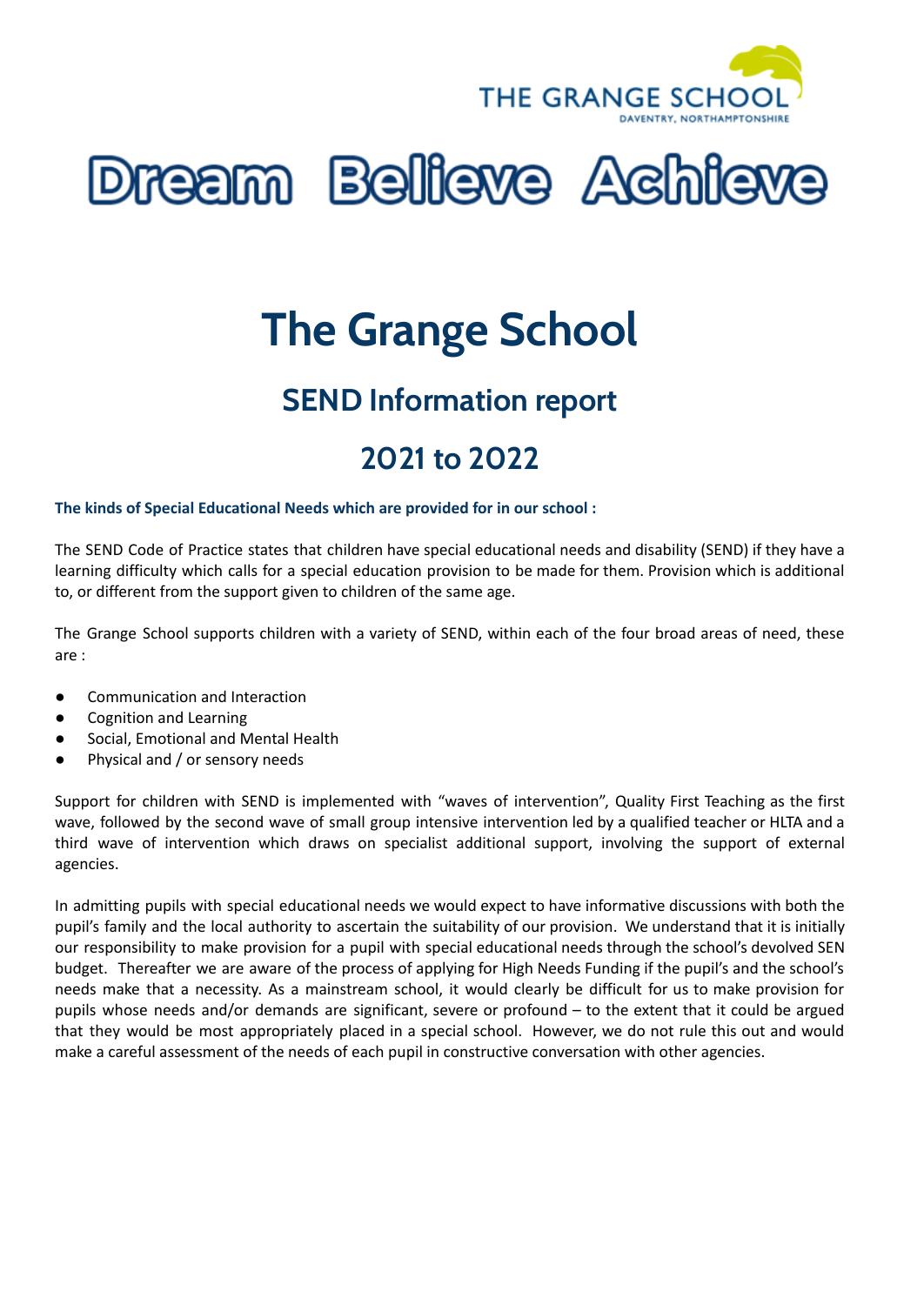



# **The Grange School**

# **SEND Information report**

# **2021 to 2022**

**The kinds of Special Educational Needs which are provided for in our school :**

The SEND Code of Practice states that children have special educational needs and disability (SEND) if they have a learning difficulty which calls for a special education provision to be made for them. Provision which is additional to, or different from the support given to children of the same age.

The Grange School supports children with a variety of SEND, within each of the four broad areas of need, these are :

- Communication and Interaction
- Cognition and Learning
- Social, Emotional and Mental Health
- Physical and / or sensory needs

Support for children with SEND is implemented with "waves of intervention", Quality First Teaching as the first wave, followed by the second wave of small group intensive intervention led by a qualified teacher or HLTA and a third wave of intervention which draws on specialist additional support, involving the support of external agencies.

In admitting pupils with special educational needs we would expect to have informative discussions with both the pupil's family and the local authority to ascertain the suitability of our provision. We understand that it is initially our responsibility to make provision for a pupil with special educational needs through the school's devolved SEN budget. Thereafter we are aware of the process of applying for High Needs Funding if the pupil's and the school's needs make that a necessity. As a mainstream school, it would clearly be difficult for us to make provision for pupils whose needs and/or demands are significant, severe or profound – to the extent that it could be argued that they would be most appropriately placed in a special school. However, we do not rule this out and would make a careful assessment of the needs of each pupil in constructive conversation with other agencies.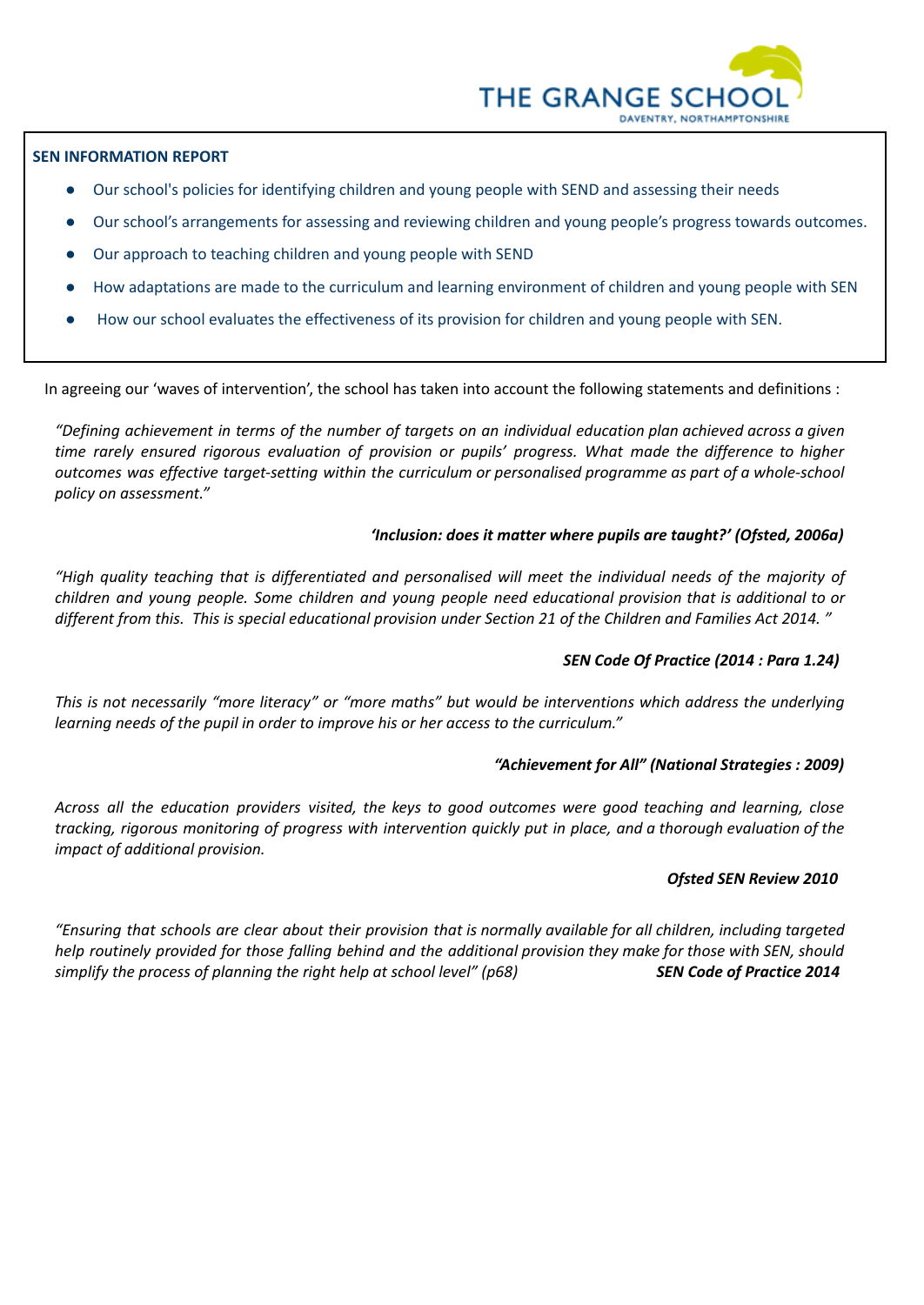

- Our school's policies for identifying children and young people with SEND and assessing their needs
- Our school's arrangements for assessing and reviewing children and young people's progress towards outcomes.
- Our approach to teaching children and young people with SEND
- How adaptations are made to the curriculum and learning environment of children and young people with SEN
- How our school evaluates the effectiveness of its provision for children and young people with SEN.

In agreeing our 'waves of intervention', the school has taken into account the following statements and definitions :

"Defining achievement in terms of the number of targets on an individual education plan achieved across a given *time rarely ensured rigorous evaluation of provision or pupils' progress. What made the difference to higher outcomes was effective target-setting within the curriculum or personalised programme as part of a whole-school policy on assessment."*

# *'Inclusion: does it matter where pupils are taught?' (Ofsted, 2006a)*

"High quality teaching that is differentiated and personalised will meet the individual needs of the majority of children and young people. Some children and young people need educational provision that is additional to or different from this. This is special educational provision under Section 21 of the Children and Families Act 2014."

# *SEN Code Of Practice (2014 : Para 1.24)*

This is not necessarily "more literacy" or "more maths" but would be interventions which address the underlying *learning needs of the pupil in order to improve his or her access to the curriculum."*

# *"Achievement for All" (National Strategies : 2009)*

Across all the education providers visited, the keys to good outcomes were good teaching and learning, close tracking, rigorous monitoring of progress with intervention quickly put in place, and a thorough evaluation of the *impact of additional provision.*

# *Ofsted SEN Review 2010*

"Ensuring that schools are clear about their provision that is normally available for all children, including taraeted help routinely provided for those falling behind and the additional provision they make for those with SEN, should *simplify the process of planning the right help at school level" (p68) SEN Code of Practice 2014*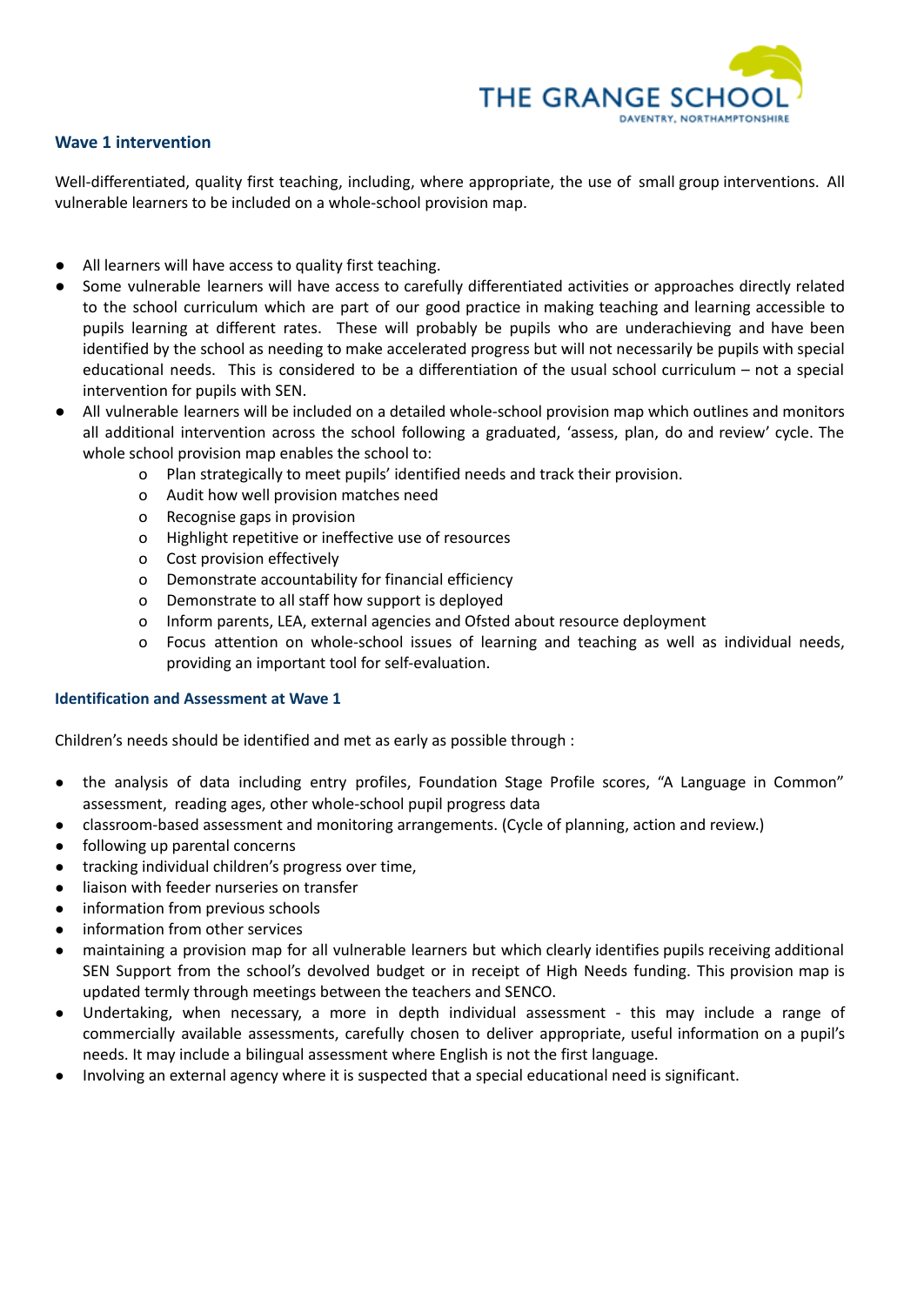

# **Wave 1 intervention**

Well-differentiated, quality first teaching, including, where appropriate, the use of small group interventions. All vulnerable learners to be included on a whole-school provision map.

- All learners will have access to quality first teaching.
- Some vulnerable learners will have access to carefully differentiated activities or approaches directly related to the school curriculum which are part of our good practice in making teaching and learning accessible to pupils learning at different rates. These will probably be pupils who are underachieving and have been identified by the school as needing to make accelerated progress but will not necessarily be pupils with special educational needs. This is considered to be a differentiation of the usual school curriculum – not a special intervention for pupils with SEN.
- All vulnerable learners will be included on a detailed whole-school provision map which outlines and monitors all additional intervention across the school following a graduated, 'assess, plan, do and review' cycle. The whole school provision map enables the school to:
	- o Plan strategically to meet pupils' identified needs and track their provision.
	- o Audit how well provision matches need
	- o Recognise gaps in provision
	- o Highlight repetitive or ineffective use of resources
	- o Cost provision effectively
	- o Demonstrate accountability for financial efficiency
	- o Demonstrate to all staff how support is deployed
	- o Inform parents, LEA, external agencies and Ofsted about resource deployment
	- o Focus attention on whole-school issues of learning and teaching as well as individual needs, providing an important tool for self-evaluation.

# **Identification and Assessment at Wave 1**

Children's needs should be identified and met as early as possible through :

- the analysis of data including entry profiles, Foundation Stage Profile scores, "A Language in Common" assessment, reading ages, other whole-school pupil progress data
- classroom-based assessment and monitoring arrangements. (Cycle of planning, action and review.)
- following up parental concerns
- tracking individual children's progress over time,
- liaison with feeder nurseries on transfer
- information from previous schools
- information from other services
- maintaining a provision map for all vulnerable learners but which clearly identifies pupils receiving additional SEN Support from the school's devolved budget or in receipt of High Needs funding. This provision map is updated termly through meetings between the teachers and SENCO.
- Undertaking, when necessary, a more in depth individual assessment this may include a range of commercially available assessments, carefully chosen to deliver appropriate, useful information on a pupil's needs. It may include a bilingual assessment where English is not the first language.
- Involving an external agency where it is suspected that a special educational need is significant.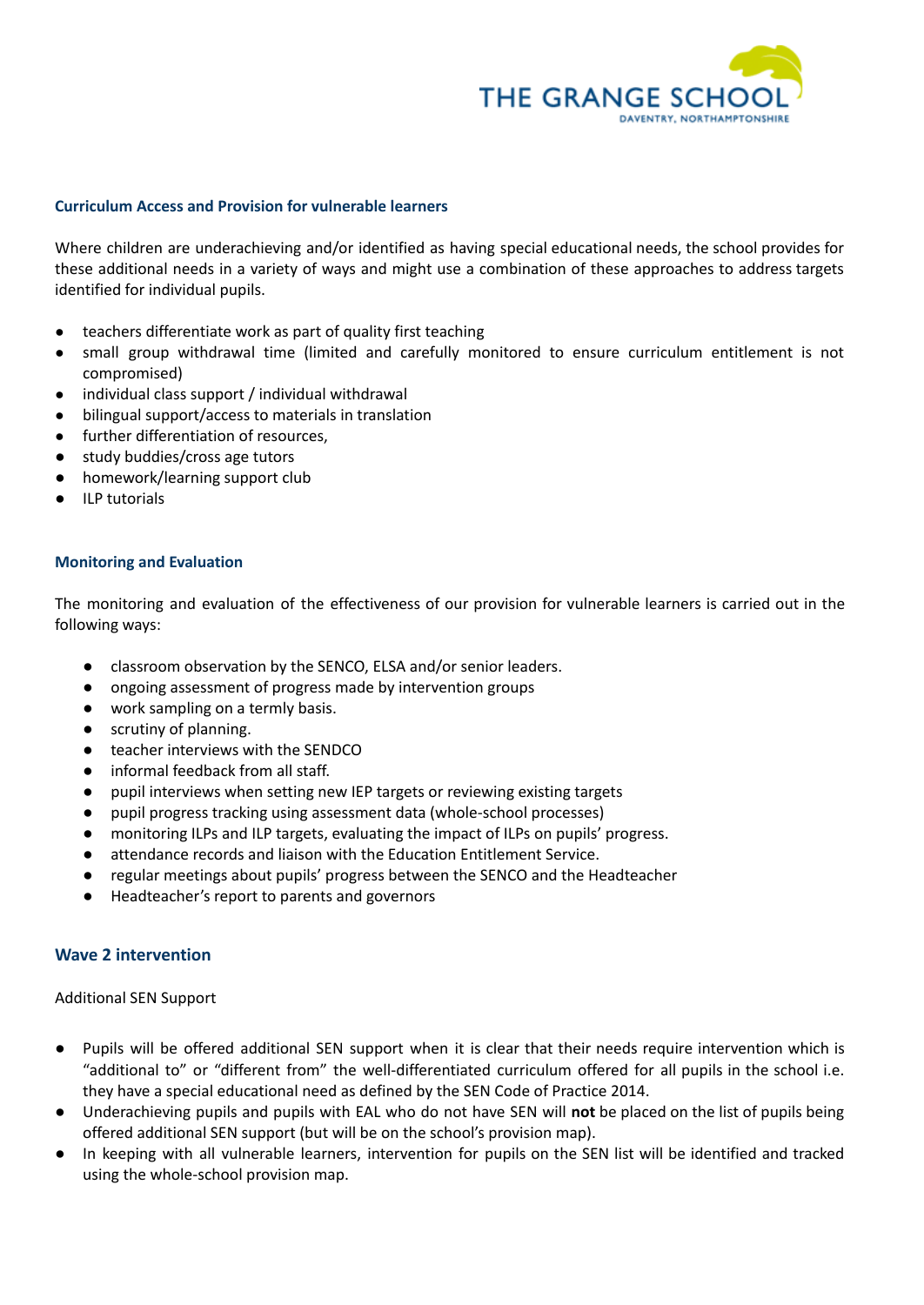

# **Curriculum Access and Provision for vulnerable learners**

Where children are underachieving and/or identified as having special educational needs, the school provides for these additional needs in a variety of ways and might use a combination of these approaches to address targets identified for individual pupils.

- teachers differentiate work as part of quality first teaching
- small group withdrawal time (limited and carefully monitored to ensure curriculum entitlement is not compromised)
- individual class support / individual withdrawal
- bilingual support/access to materials in translation
- further differentiation of resources,
- study buddies/cross age tutors
- homework/learning support club
- **ILP tutorials**

# **Monitoring and Evaluation**

The monitoring and evaluation of the effectiveness of our provision for vulnerable learners is carried out in the following ways:

- classroom observation by the SENCO, ELSA and/or senior leaders.
- ongoing assessment of progress made by intervention groups
- work sampling on a termly basis.
- scrutiny of planning.
- teacher interviews with the SENDCO
- informal feedback from all staff.
- pupil interviews when setting new IEP targets or reviewing existing targets
- pupil progress tracking using assessment data (whole-school processes)
- monitoring ILPs and ILP targets, evaluating the impact of ILPs on pupils' progress.
- attendance records and liaison with the Education Entitlement Service.
- regular meetings about pupils' progress between the SENCO and the Headteacher
- Headteacher's report to parents and governors

#### **Wave 2 intervention**

Additional SEN Support

- **●** Pupils will be offered additional SEN support when it is clear that their needs require intervention which is "additional to" or "different from" the well-differentiated curriculum offered for all pupils in the school i.e. they have a special educational need as defined by the SEN Code of Practice 2014.
- **●** Underachieving pupils and pupils with EAL who do not have SEN will **not** be placed on the list of pupils being offered additional SEN support (but will be on the school's provision map).
- **●** In keeping with all vulnerable learners, intervention for pupils on the SEN list will be identified and tracked using the whole-school provision map.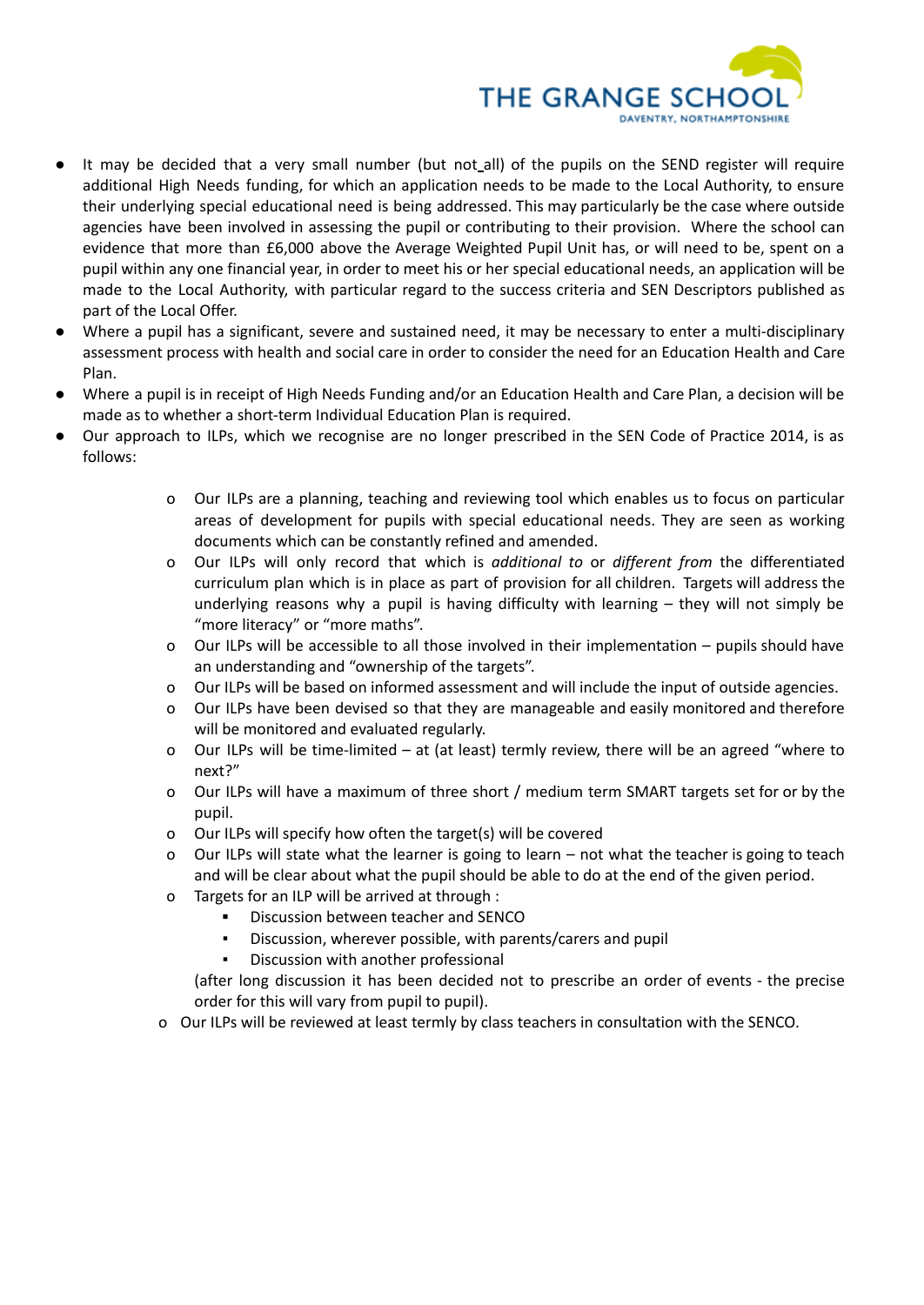

- It may be decided that a very small number (but not all) of the pupils on the SEND register will require additional High Needs funding, for which an application needs to be made to the Local Authority, to ensure their underlying special educational need is being addressed. This may particularly be the case where outside agencies have been involved in assessing the pupil or contributing to their provision. Where the school can evidence that more than £6,000 above the Average Weighted Pupil Unit has, or will need to be, spent on a pupil within any one financial year, in order to meet his or her special educational needs, an application will be made to the Local Authority, with particular regard to the success criteria and SEN Descriptors published as part of the Local Offer.
- Where a pupil has a significant, severe and sustained need, it may be necessary to enter a multi-disciplinary assessment process with health and social care in order to consider the need for an Education Health and Care Plan.
- Where a pupil is in receipt of High Needs Funding and/or an Education Health and Care Plan, a decision will be made as to whether a short-term Individual Education Plan is required.
- Our approach to ILPs, which we recognise are no longer prescribed in the SEN Code of Practice 2014, is as follows:
	- o Our ILPs are a planning, teaching and reviewing tool which enables us to focus on particular areas of development for pupils with special educational needs. They are seen as working documents which can be constantly refined and amended.
	- o Our ILPs will only record that which is *additional to* or *different from* the differentiated curriculum plan which is in place as part of provision for all children. Targets will address the underlying reasons why a pupil is having difficulty with learning – they will not simply be "more literacy" or "more maths".
	- o Our ILPs will be accessible to all those involved in their implementation pupils should have an understanding and "ownership of the targets".
	- o Our ILPs will be based on informed assessment and will include the input of outside agencies.
	- o Our ILPs have been devised so that they are manageable and easily monitored and therefore will be monitored and evaluated regularly.
	- o Our ILPs will be time-limited at (at least) termly review, there will be an agreed "where to next?"
	- o Our ILPs will have a maximum of three short / medium term SMART targets set for or by the pupil.
	- o Our ILPs will specify how often the target(s) will be covered
	- o Our ILPs will state what the learner is going to learn not what the teacher is going to teach and will be clear about what the pupil should be able to do at the end of the given period.
	- o Targets for an ILP will be arrived at through :
		- **▪** Discussion between teacher and SENCO
		- Discussion, wherever possible, with parents/carers and pupil
		- Discussion with another professional

(after long discussion it has been decided not to prescribe an order of events - the precise order for this will vary from pupil to pupil).

o Our ILPs will be reviewed at least termly by class teachers in consultation with the SENCO.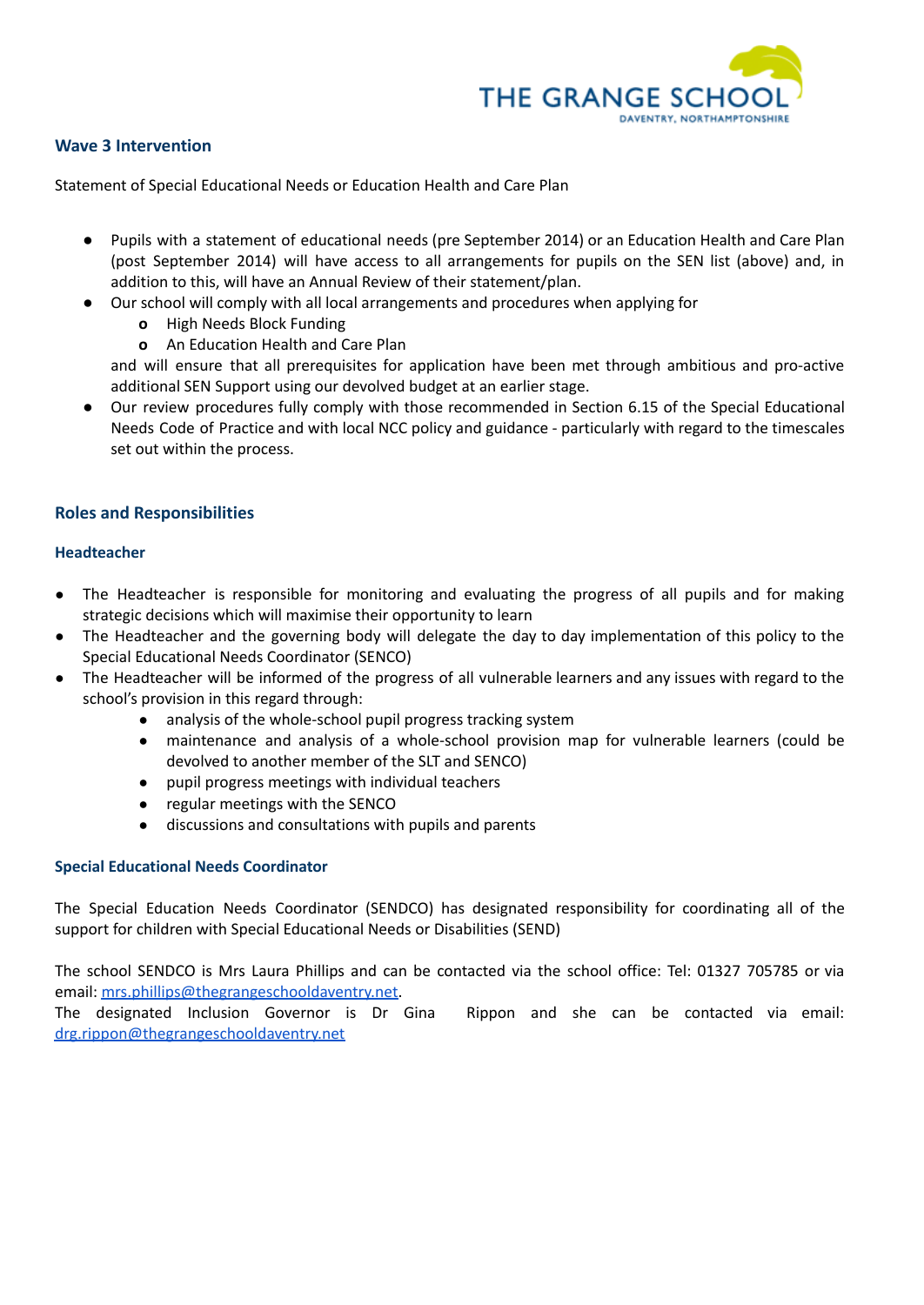

# **Wave 3 Intervention**

Statement of Special Educational Needs or Education Health and Care Plan

- **●** Pupils with a statement of educational needs (pre September 2014) or an Education Health and Care Plan (post September 2014) will have access to all arrangements for pupils on the SEN list (above) and, in addition to this, will have an Annual Review of their statement/plan.
- **●** Our school will comply with all local arrangements and procedures when applying for
	- **o** High Needs Block Funding
	- **o** An Education Health and Care Plan

and will ensure that all prerequisites for application have been met through ambitious and pro-active additional SEN Support using our devolved budget at an earlier stage.

**●** Our review procedures fully comply with those recommended in Section 6.15 of the Special Educational Needs Code of Practice and with local NCC policy and guidance - particularly with regard to the timescales set out within the process.

# **Roles and Responsibilities**

# **Headteacher**

- The Headteacher is responsible for monitoring and evaluating the progress of all pupils and for making strategic decisions which will maximise their opportunity to learn
- The Headteacher and the governing body will delegate the day to day implementation of this policy to the Special Educational Needs Coordinator (SENCO)
- The Headteacher will be informed of the progress of all vulnerable learners and any issues with regard to the school's provision in this regard through:
	- analysis of the whole-school pupil progress tracking system
	- maintenance and analysis of a whole-school provision map for vulnerable learners (could be devolved to another member of the SLT and SENCO)
	- pupil progress meetings with individual teachers
	- regular meetings with the SENCO
	- discussions and consultations with pupils and parents

# **Special Educational Needs Coordinator**

The Special Education Needs Coordinator (SENDCO) has designated responsibility for coordinating all of the support for children with Special Educational Needs or Disabilities (SEND)

The school SENDCO is Mrs Laura Phillips and can be contacted via the school office: Tel: 01327 705785 or via email: [mrs.phillips@thegrangeschooldaventry.net.](mailto:mrs.phillips@thegrangeschooldaventry.net)

The designated Inclusion Governor is Dr Gina Rippon and she can be contacted via email: [drg.rippon@thegrangeschooldaventry.net](mailto:drg.rippon@thegrangeschooldaventry.net)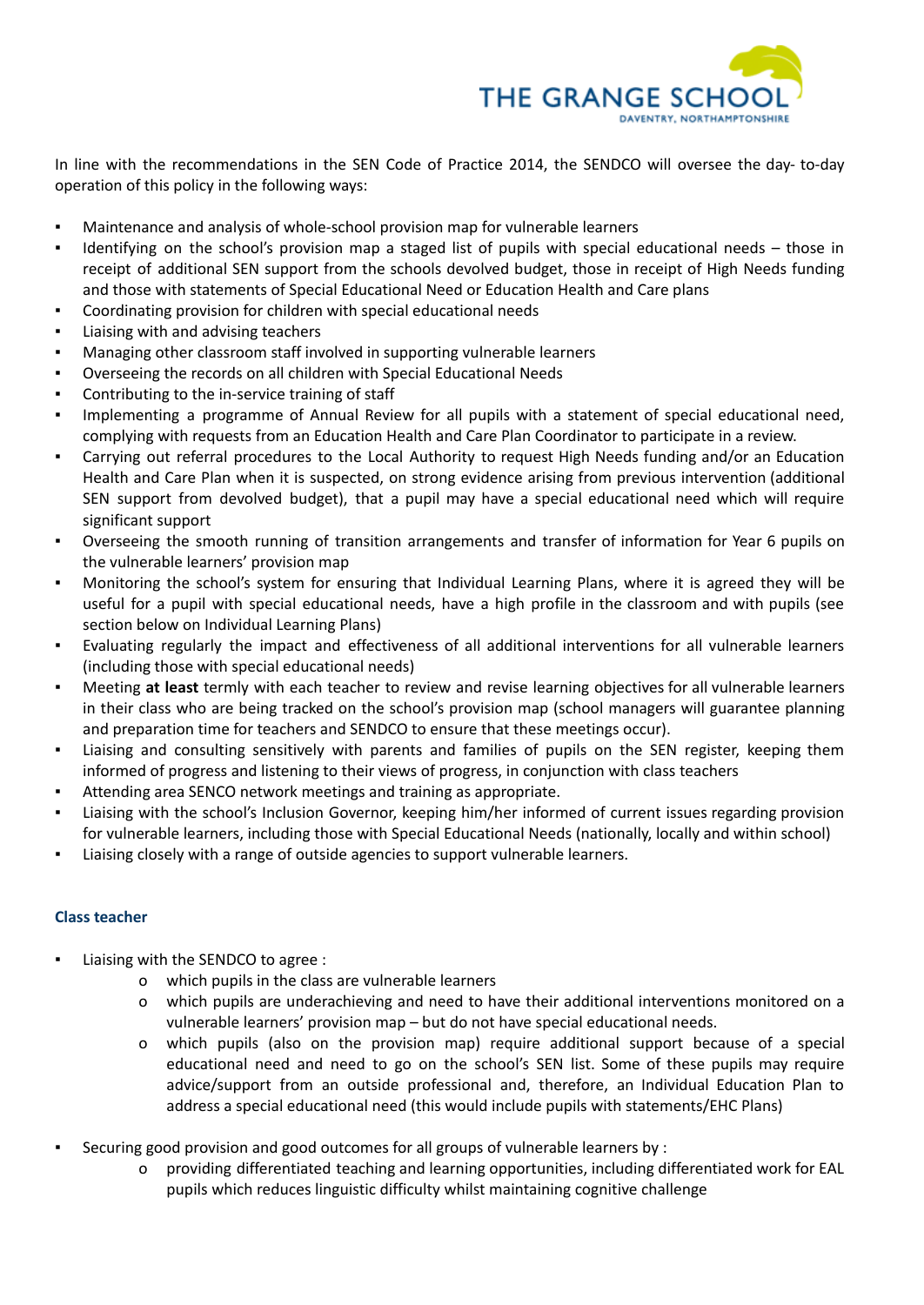

In line with the recommendations in the SEN Code of Practice 2014, the SENDCO will oversee the day- to-day operation of this policy in the following ways:

- Maintenance and analysis of whole-school provision map for vulnerable learners
- Identifying on the school's provision map a staged list of pupils with special educational needs those in receipt of additional SEN support from the schools devolved budget, those in receipt of High Needs funding and those with statements of Special Educational Need or Education Health and Care plans
- Coordinating provision for children with special educational needs
- Liaising with and advising teachers
- Managing other classroom staff involved in supporting vulnerable learners
- Overseeing the records on all children with Special Educational Needs
- Contributing to the in-service training of staff
- Implementing a programme of Annual Review for all pupils with a statement of special educational need, complying with requests from an Education Health and Care Plan Coordinator to participate in a review.
- Carrying out referral procedures to the Local Authority to request High Needs funding and/or an Education Health and Care Plan when it is suspected, on strong evidence arising from previous intervention (additional SEN support from devolved budget), that a pupil may have a special educational need which will require significant support
- Overseeing the smooth running of transition arrangements and transfer of information for Year 6 pupils on the vulnerable learners' provision map
- Monitoring the school's system for ensuring that Individual Learning Plans, where it is agreed they will be useful for a pupil with special educational needs, have a high profile in the classroom and with pupils (see section below on Individual Learning Plans)
- Evaluating regularly the impact and effectiveness of all additional interventions for all vulnerable learners (including those with special educational needs)
- Meeting at least termly with each teacher to review and revise learning objectives for all vulnerable learners in their class who are being tracked on the school's provision map (school managers will guarantee planning and preparation time for teachers and SENDCO to ensure that these meetings occur).
- Liaising and consulting sensitively with parents and families of pupils on the SEN register, keeping them informed of progress and listening to their views of progress, in conjunction with class teachers
- Attending area SENCO network meetings and training as appropriate.
- Liaising with the school's Inclusion Governor, keeping him/her informed of current issues regarding provision for vulnerable learners, including those with Special Educational Needs (nationally, locally and within school)
- Liaising closely with a range of outside agencies to support vulnerable learners.

# **Class teacher**

- Liaising with the SENDCO to agree:
	- o which pupils in the class are vulnerable learners
	- o which pupils are underachieving and need to have their additional interventions monitored on a vulnerable learners' provision map – but do not have special educational needs.
	- o which pupils (also on the provision map) require additional support because of a special educational need and need to go on the school's SEN list. Some of these pupils may require advice/support from an outside professional and, therefore, an Individual Education Plan to address a special educational need (this would include pupils with statements/EHC Plans)
- Securing good provision and good outcomes for all groups of vulnerable learners by :
	- o providing differentiated teaching and learning opportunities, including differentiated work for EAL pupils which reduces linguistic difficulty whilst maintaining cognitive challenge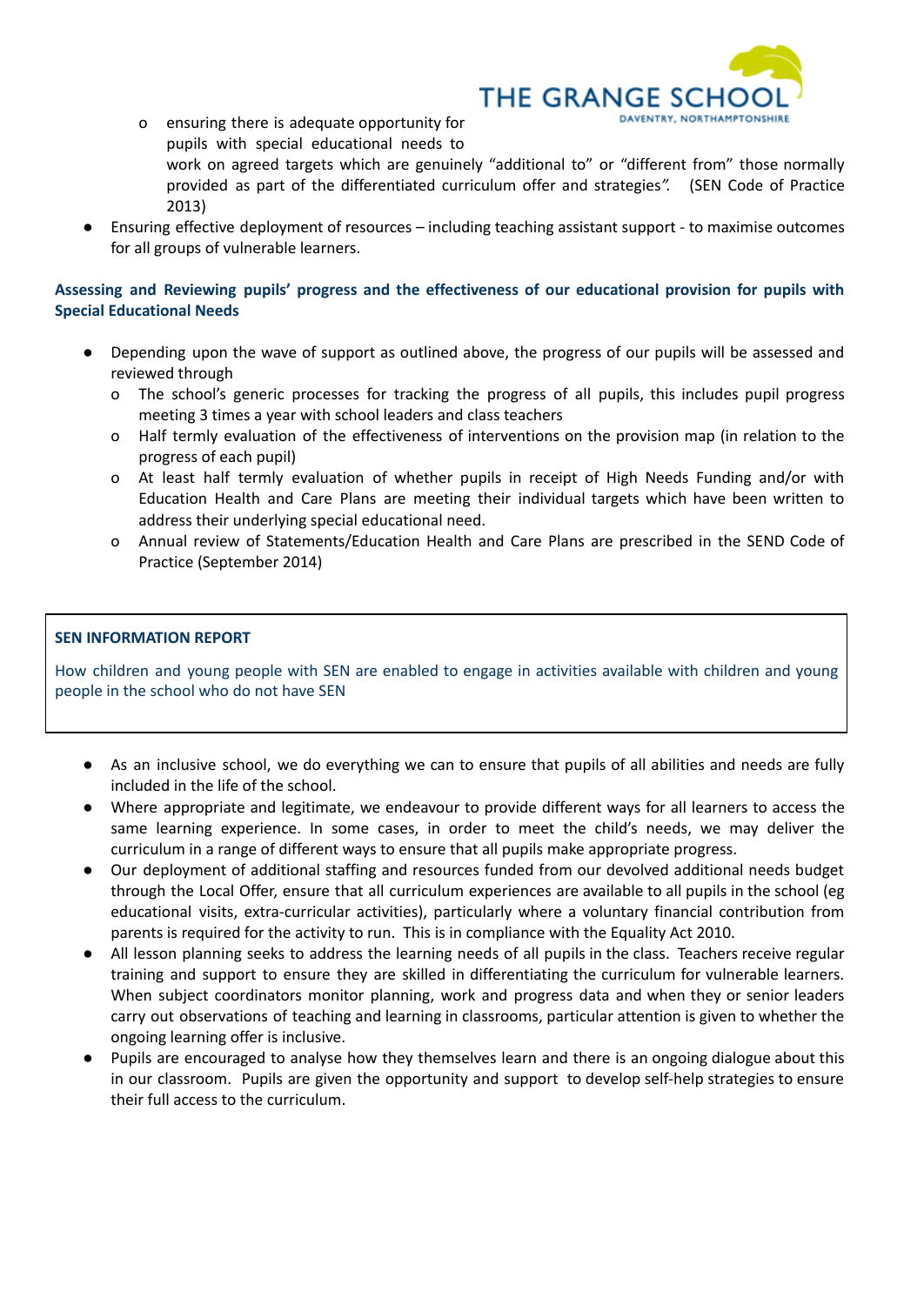

- o ensuring there is adequate opportunity for pupils with special educational needs to
	- work on agreed targets which are genuinely "additional to" or "different from" those normally provided as part of the differentiated curriculum offer and strategies*".* (SEN Code of Practice 2013)
- Ensuring effective deployment of resources including teaching assistant support to maximise outcomes for all groups of vulnerable learners.

# **Assessing and Reviewing pupils' progress and the effectiveness of our educational provision for pupils with Special Educational Needs**

- Depending upon the wave of support as outlined above, the progress of our pupils will be assessed and reviewed through
	- o The school's generic processes for tracking the progress of all pupils, this includes pupil progress meeting 3 times a year with school leaders and class teachers
	- o Half termly evaluation of the effectiveness of interventions on the provision map (in relation to the progress of each pupil)
	- o At least half termly evaluation of whether pupils in receipt of High Needs Funding and/or with Education Health and Care Plans are meeting their individual targets which have been written to address their underlying special educational need.
	- o Annual review of Statements/Education Health and Care Plans are prescribed in the SEND Code of Practice (September 2014)

# **SEN INFORMATION REPORT**

How children and young people with SEN are enabled to engage in activities available with children and young people in the school who do not have SEN

- As an inclusive school, we do everything we can to ensure that pupils of all abilities and needs are fully included in the life of the school.
- Where appropriate and legitimate, we endeavour to provide different ways for all learners to access the same learning experience. In some cases, in order to meet the child's needs, we may deliver the curriculum in a range of different ways to ensure that all pupils make appropriate progress.
- Our deployment of additional staffing and resources funded from our devolved additional needs budget through the Local Offer, ensure that all curriculum experiences are available to all pupils in the school (eg educational visits, extra-curricular activities), particularly where a voluntary financial contribution from parents is required for the activity to run. This is in compliance with the Equality Act 2010.
- All lesson planning seeks to address the learning needs of all pupils in the class. Teachers receive regular training and support to ensure they are skilled in differentiating the curriculum for vulnerable learners. When subject coordinators monitor planning, work and progress data and when they or senior leaders carry out observations of teaching and learning in classrooms, particular attention is given to whether the ongoing learning offer is inclusive.
- Pupils are encouraged to analyse how they themselves learn and there is an ongoing dialogue about this in our classroom. Pupils are given the opportunity and support to develop self-help strategies to ensure their full access to the curriculum.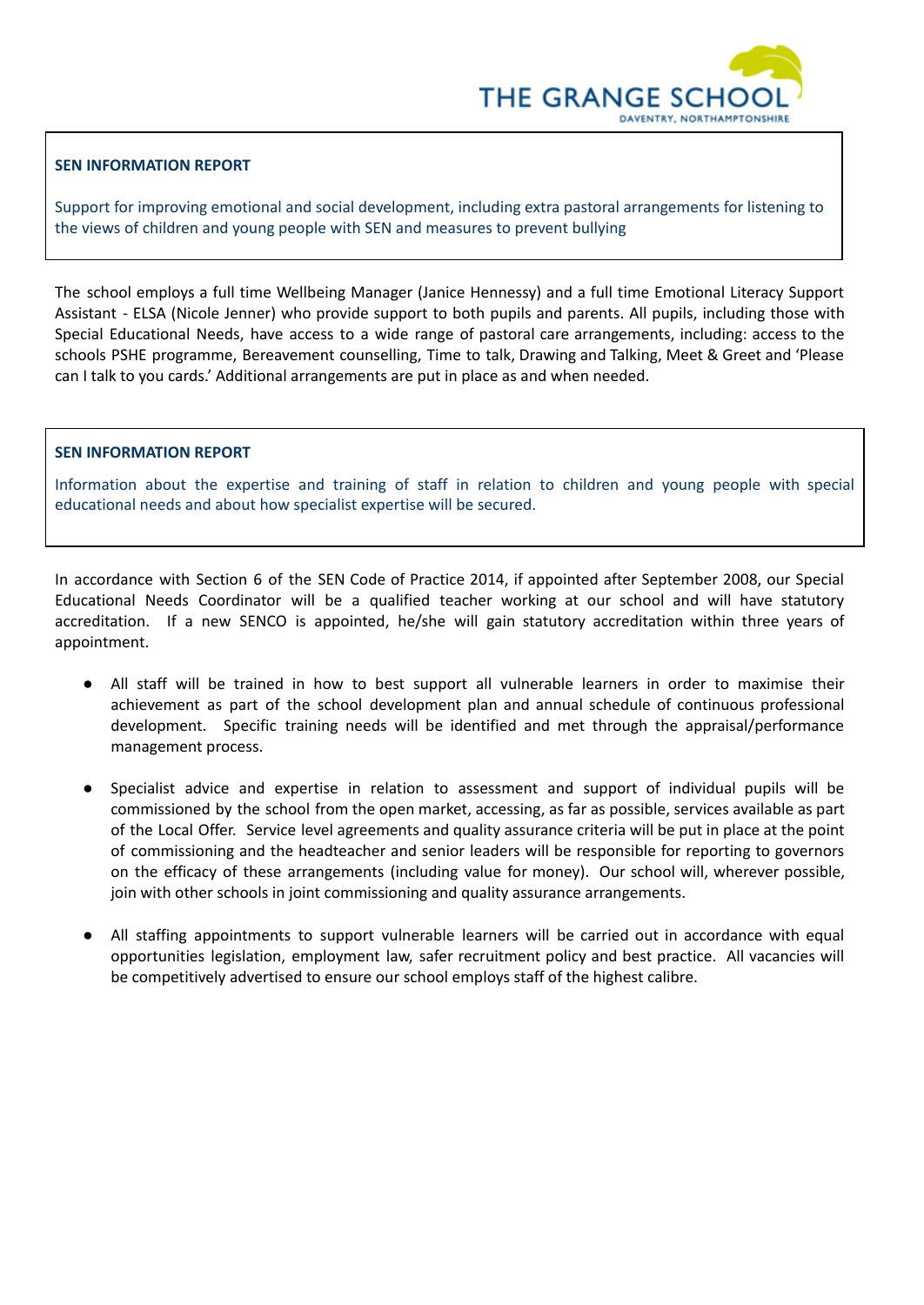

Support for improving emotional and social development, including extra pastoral arrangements for listening to the views of children and young people with SEN and measures to prevent bullying

The school employs a full time Wellbeing Manager (Janice Hennessy) and a full time Emotional Literacy Support Assistant - ELSA (Nicole Jenner) who provide support to both pupils and parents. All pupils, including those with Special Educational Needs, have access to a wide range of pastoral care arrangements, including: access to the schools PSHE programme, Bereavement counselling, Time to talk, Drawing and Talking, Meet & Greet and 'Please can I talk to you cards.' Additional arrangements are put in place as and when needed.

# **SEN INFORMATION REPORT**

Information about the expertise and training of staff in relation to children and young people with special educational needs and about how specialist expertise will be secured.

In accordance with Section 6 of the SEN Code of Practice 2014, if appointed after September 2008, our Special Educational Needs Coordinator will be a qualified teacher working at our school and will have statutory accreditation. If a new SENCO is appointed, he/she will gain statutory accreditation within three years of appointment.

- All staff will be trained in how to best support all vulnerable learners in order to maximise their achievement as part of the school development plan and annual schedule of continuous professional development. Specific training needs will be identified and met through the appraisal/performance management process.
- Specialist advice and expertise in relation to assessment and support of individual pupils will be commissioned by the school from the open market, accessing, as far as possible, services available as part of the Local Offer. Service level agreements and quality assurance criteria will be put in place at the point of commissioning and the headteacher and senior leaders will be responsible for reporting to governors on the efficacy of these arrangements (including value for money). Our school will, wherever possible, join with other schools in joint commissioning and quality assurance arrangements.
- All staffing appointments to support vulnerable learners will be carried out in accordance with equal opportunities legislation, employment law, safer recruitment policy and best practice. All vacancies will be competitively advertised to ensure our school employs staff of the highest calibre.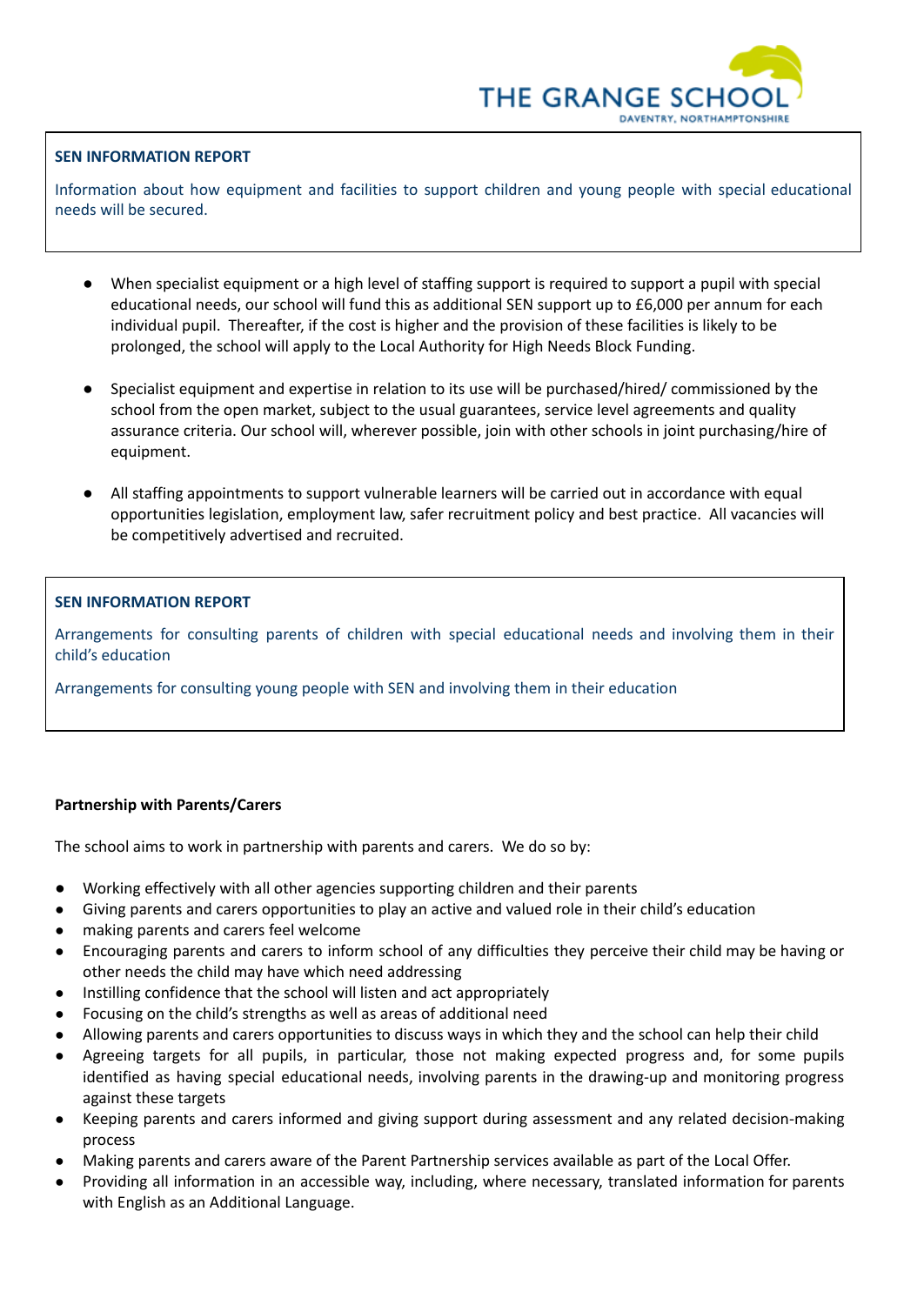

Information about how equipment and facilities to support children and young people with special educational needs will be secured.

- When specialist equipment or a high level of staffing support is required to support a pupil with special educational needs, our school will fund this as additional SEN support up to £6,000 per annum for each individual pupil. Thereafter, if the cost is higher and the provision of these facilities is likely to be prolonged, the school will apply to the Local Authority for High Needs Block Funding.
- Specialist equipment and expertise in relation to its use will be purchased/hired/ commissioned by the school from the open market, subject to the usual guarantees, service level agreements and quality assurance criteria. Our school will, wherever possible, join with other schools in joint purchasing/hire of equipment.
- All staffing appointments to support vulnerable learners will be carried out in accordance with equal opportunities legislation, employment law, safer recruitment policy and best practice. All vacancies will be competitively advertised and recruited.

# **SEN INFORMATION REPORT**

Arrangements for consulting parents of children with special educational needs and involving them in their child's education

Arrangements for consulting young people with SEN and involving them in their education

# **Partnership with Parents/Carers**

The school aims to work in partnership with parents and carers. We do so by:

- Working effectively with all other agencies supporting children and their parents
- Giving parents and carers opportunities to play an active and valued role in their child's education
- making parents and carers feel welcome
- Encouraging parents and carers to inform school of any difficulties they perceive their child may be having or other needs the child may have which need addressing
- Instilling confidence that the school will listen and act appropriately
- Focusing on the child's strengths as well as areas of additional need
- Allowing parents and carers opportunities to discuss ways in which they and the school can help their child
- Agreeing targets for all pupils, in particular, those not making expected progress and, for some pupils identified as having special educational needs, involving parents in the drawing-up and monitoring progress against these targets
- Keeping parents and carers informed and giving support during assessment and any related decision-making process
- *●* Making parents and carers aware of the Parent Partnership services available as part of the Local Offer.
- *●* Providing all information in an accessible way, including, where necessary, translated information for parents with English as an Additional Language.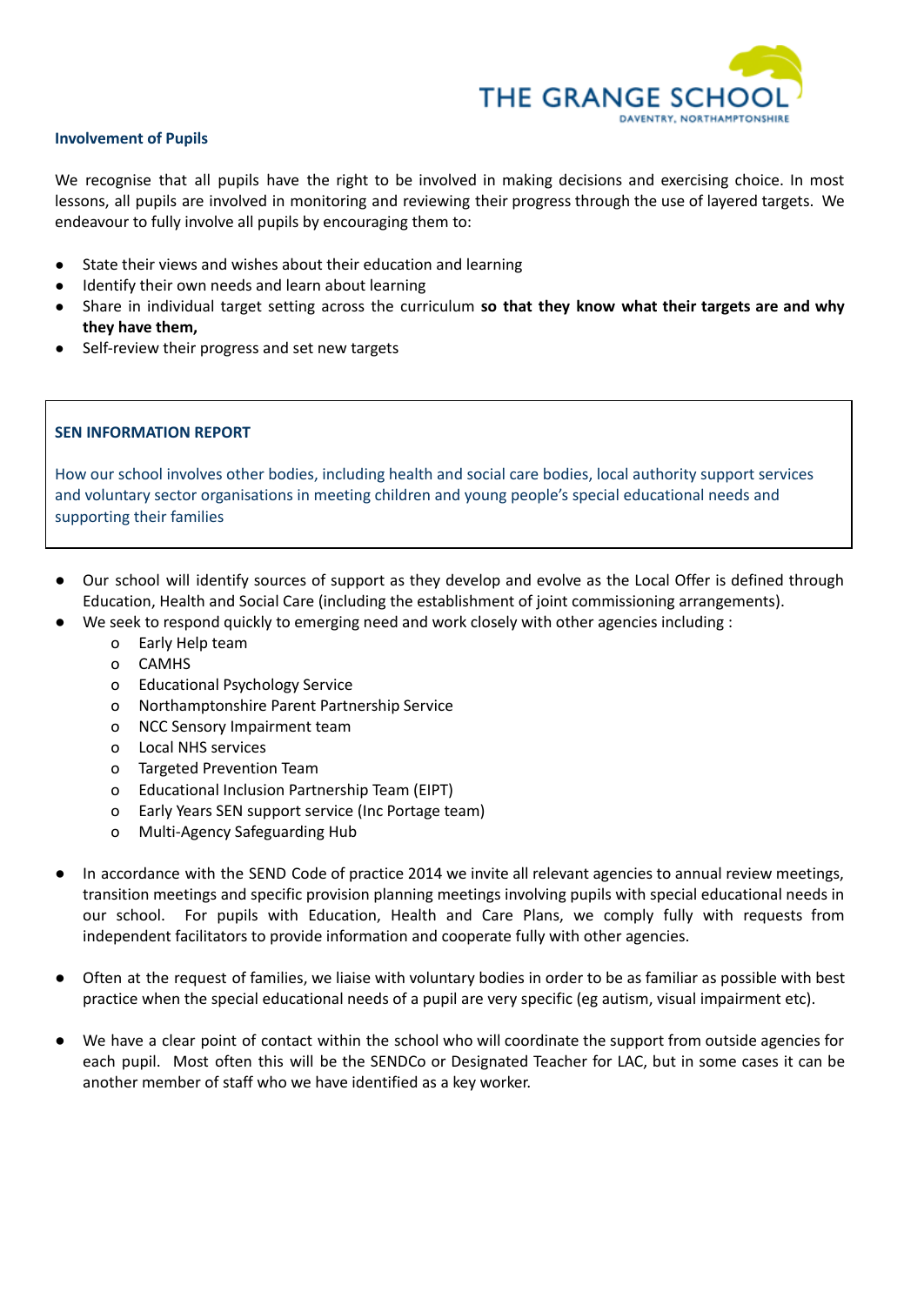

# **Involvement of Pupils**

We recognise that all pupils have the right to be involved in making decisions and exercising choice. In most lessons, all pupils are involved in monitoring and reviewing their progress through the use of layered targets. We endeavour to fully involve all pupils by encouraging them to:

- State their views and wishes about their education and learning
- Identify their own needs and learn about learning
- Share in individual target setting across the curriculum **so that they know what their targets are and why they have them,**
- Self-review their progress and set new targets

# **SEN INFORMATION REPORT**

How our school involves other bodies, including health and social care bodies, local authority support services and voluntary sector organisations in meeting children and young people's special educational needs and supporting their families

- Our school will identify sources of support as they develop and evolve as the Local Offer is defined through Education, Health and Social Care (including the establishment of joint commissioning arrangements).
	- We seek to respond quickly to emerging need and work closely with other agencies including :
		- o Early Help team
			- o CAMHS
			- o Educational Psychology Service
			- o Northamptonshire Parent Partnership Service
			- o NCC Sensory Impairment team
			- o Local NHS services
			- o Targeted Prevention Team
			- o Educational Inclusion Partnership Team (EIPT)
			- o Early Years SEN support service (Inc Portage team)
			- o Multi-Agency Safeguarding Hub
- In accordance with the SEND Code of practice 2014 we invite all relevant agencies to annual review meetings, transition meetings and specific provision planning meetings involving pupils with special educational needs in our school. For pupils with Education, Health and Care Plans, we comply fully with requests from independent facilitators to provide information and cooperate fully with other agencies.
- Often at the request of families, we liaise with voluntary bodies in order to be as familiar as possible with best practice when the special educational needs of a pupil are very specific (eg autism, visual impairment etc).
- We have a clear point of contact within the school who will coordinate the support from outside agencies for each pupil. Most often this will be the SENDCo or Designated Teacher for LAC, but in some cases it can be another member of staff who we have identified as a key worker.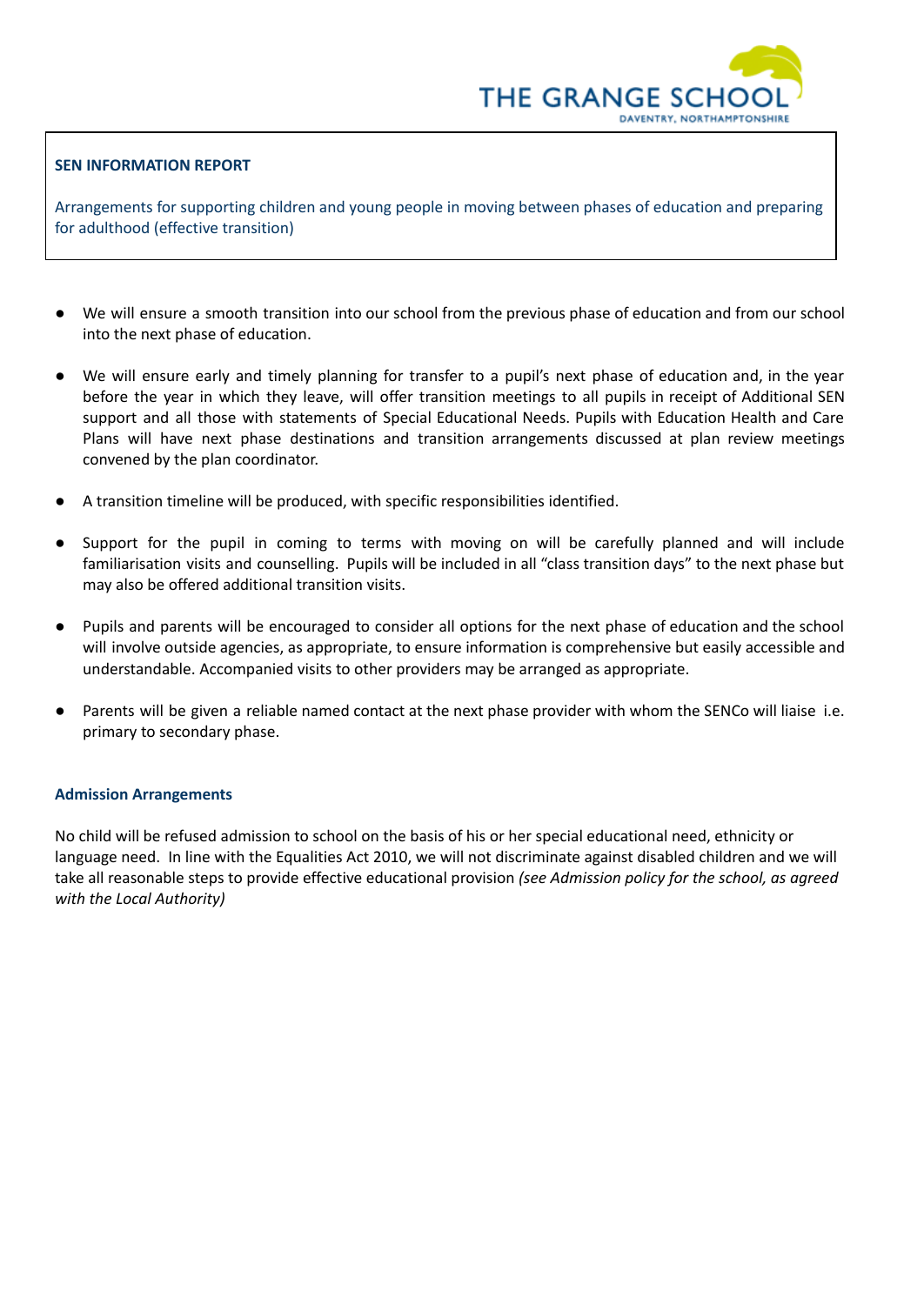

Arrangements for supporting children and young people in moving between phases of education and preparing for adulthood (effective transition)

- We will ensure a smooth transition into our school from the previous phase of education and from our school into the next phase of education.
- We will ensure early and timely planning for transfer to a pupil's next phase of education and, in the year before the year in which they leave, will offer transition meetings to all pupils in receipt of Additional SEN support and all those with statements of Special Educational Needs. Pupils with Education Health and Care Plans will have next phase destinations and transition arrangements discussed at plan review meetings convened by the plan coordinator.
- A transition timeline will be produced, with specific responsibilities identified.
- Support for the pupil in coming to terms with moving on will be carefully planned and will include familiarisation visits and counselling. Pupils will be included in all "class transition days" to the next phase but may also be offered additional transition visits.
- Pupils and parents will be encouraged to consider all options for the next phase of education and the school will involve outside agencies, as appropriate, to ensure information is comprehensive but easily accessible and understandable. Accompanied visits to other providers may be arranged as appropriate.
- Parents will be given a reliable named contact at the next phase provider with whom the SENCo will liaise i.e. primary to secondary phase.

#### **Admission Arrangements**

No child will be refused admission to school on the basis of his or her special educational need, ethnicity or language need. In line with the Equalities Act 2010, we will not discriminate against disabled children and we will take all reasonable steps to provide effective educational provision *(see Admission policy for the school, as agreed with the Local Authority)*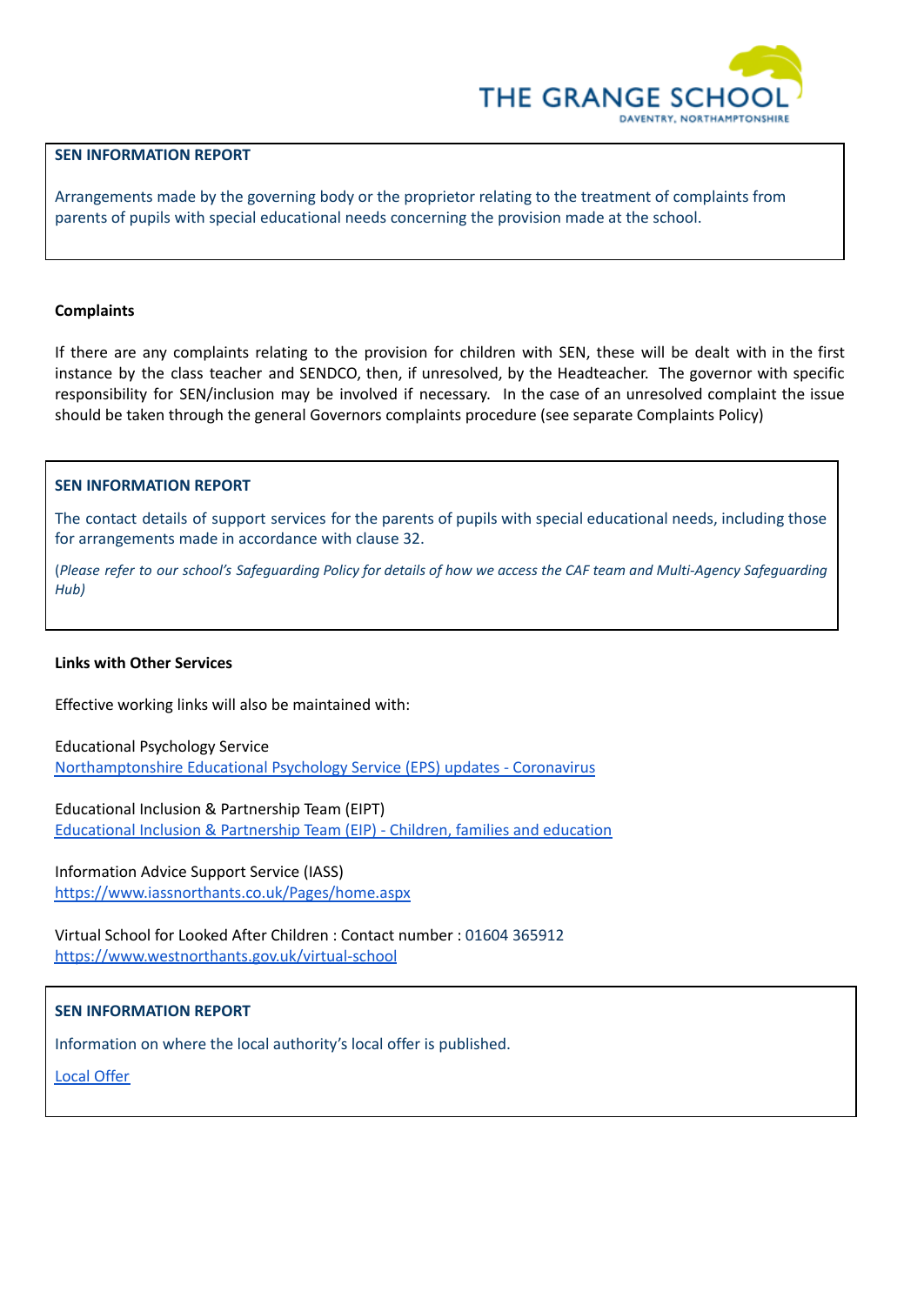

Arrangements made by the governing body or the proprietor relating to the treatment of complaints from parents of pupils with special educational needs concerning the provision made at the school.

# **Complaints**

If there are any complaints relating to the provision for children with SEN, these will be dealt with in the first instance by the class teacher and SENDCO, then, if unresolved, by the Headteacher. The governor with specific responsibility for SEN/inclusion may be involved if necessary. In the case of an unresolved complaint the issue should be taken through the general Governors complaints procedure (see separate Complaints Policy)

# **SEN INFORMATION REPORT**

The contact details of support services for the parents of pupils with special educational needs, including those for arrangements made in accordance with clause 32.

(Please refer to our school's Safeguarding Policy for details of how we access the CAF team and Multi-Agency Safeguarding *Hub)*

#### **Links with Other Services**

Effective working links will also be maintained with:

Educational Psychology Service [Northamptonshire](https://www.northamptonshire.gov.uk/councilservices/children-families-education/schools-and-education/educational-psychology-service/Pages/northamptonshire-educational-psychology-service-(eps)-.aspx) Educational Psychology Service (EPS) updates - Coronavirus

Educational Inclusion & Partnership Team (EIPT) [Educational](https://www.northamptonshire.gov.uk/councilservices/children-families-education/service-finder/advice-and-support/471-educational-inclusion-partnership-team-eip) Inclusion & Partnership Team (EIP) - Children, families and education

Information Advice Support Service (IASS) <https://www.iassnorthants.co.uk/Pages/home.aspx>

Virtual School for Looked After Children : Contact number : 01604 365912 <https://www.westnorthants.gov.uk/virtual-school>

# **SEN INFORMATION REPORT**

Information on where the local authority's local offer is published.

Local [Offer](https://www.northamptonshire.gov.uk/councilservices/children-families-education/send/local-offer/Pages/default.aspx)